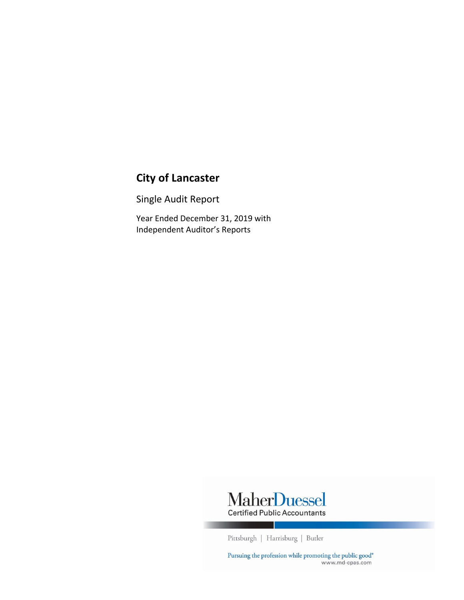### **City of Lancaster**

Single Audit Report

Year Ended December 31, 2019 with Independent Auditor's Reports



Pittsburgh | Harrisburg | Butler

Pursuing the profession while promoting the public good® www.md-cpas.com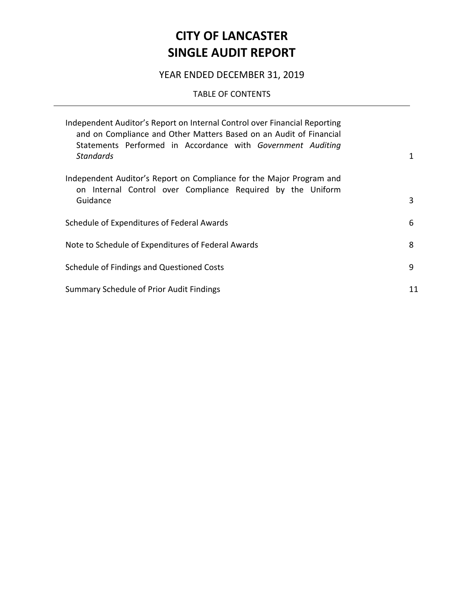### YEAR ENDED DECEMBER 31, 2019

### TABLE OF CONTENTS

| Independent Auditor's Report on Internal Control over Financial Reporting<br>and on Compliance and Other Matters Based on an Audit of Financial<br>Statements Performed in Accordance with Government Auditing<br><b>Standards</b> | 1  |
|------------------------------------------------------------------------------------------------------------------------------------------------------------------------------------------------------------------------------------|----|
| Independent Auditor's Report on Compliance for the Major Program and<br>on Internal Control over Compliance Required by the Uniform<br>Guidance                                                                                    | 3  |
| Schedule of Expenditures of Federal Awards                                                                                                                                                                                         | 6  |
| Note to Schedule of Expenditures of Federal Awards                                                                                                                                                                                 | 8  |
| Schedule of Findings and Questioned Costs                                                                                                                                                                                          | 9  |
| Summary Schedule of Prior Audit Findings                                                                                                                                                                                           | 11 |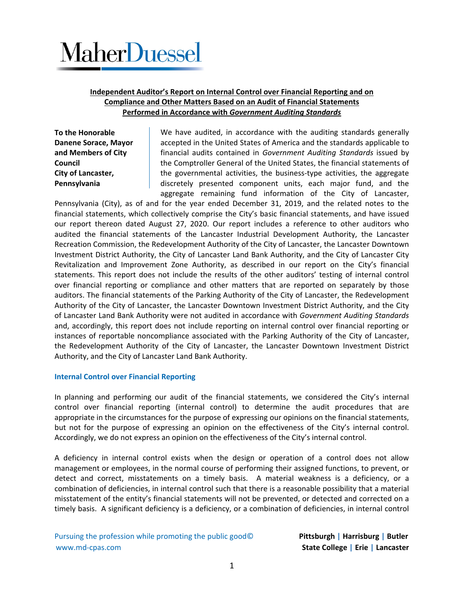# **MaherDuessel**

### **Independent Auditor's Report on Internal Control over Financial Reporting and on Compliance and Other Matters Based on an Audit of Financial Statements Performed in Accordance with** *Government Auditing Standards*

**To the Honorable Danene Sorace, Mayor and Members of City Council City of Lancaster, Pennsylvania** 

We have audited, in accordance with the auditing standards generally accepted in the United States of America and the standards applicable to financial audits contained in *Government Auditing Standards*  issued by the Comptroller General of the United States, the financial statements of the governmental activities, the business‐type activities, the aggregate discretely presented component units, each major fund, and the aggregate remaining fund information of the City of Lancaster,

Pennsylvania (City), as of and for the year ended December 31, 2019, and the related notes to the financial statements, which collectively comprise the City's basic financial statements, and have issued our report thereon dated August 27, 2020. Our report includes a reference to other auditors who audited the financial statements of the Lancaster Industrial Development Authority, the Lancaster Recreation Commission, the Redevelopment Authority of the City of Lancaster, the Lancaster Downtown Investment District Authority, the City of Lancaster Land Bank Authority, and the City of Lancaster City Revitalization and Improvement Zone Authority, as described in our report on the City's financial statements. This report does not include the results of the other auditors' testing of internal control over financial reporting or compliance and other matters that are reported on separately by those auditors. The financial statements of the Parking Authority of the City of Lancaster, the Redevelopment Authority of the City of Lancaster, the Lancaster Downtown Investment District Authority, and the City of Lancaster Land Bank Authority were not audited in accordance with *Government Auditing Standards* and, accordingly, this report does not include reporting on internal control over financial reporting or instances of reportable noncompliance associated with the Parking Authority of the City of Lancaster, the Redevelopment Authority of the City of Lancaster, the Lancaster Downtown Investment District Authority, and the City of Lancaster Land Bank Authority.

### **Internal Control over Financial Reporting**

In planning and performing our audit of the financial statements, we considered the City's internal control over financial reporting (internal control) to determine the audit procedures that are appropriate in the circumstances for the purpose of expressing our opinions on the financial statements, but not for the purpose of expressing an opinion on the effectiveness of the City's internal control. Accordingly, we do not express an opinion on the effectiveness of the City's internal control.

A deficiency in internal control exists when the design or operation of a control does not allow management or employees, in the normal course of performing their assigned functions, to prevent, or detect and correct, misstatements on a timely basis. A material weakness is a deficiency, or a combination of deficiencies, in internal control such that there is a reasonable possibility that a material misstatement of the entity's financial statements will not be prevented, or detected and corrected on a timely basis. A significant deficiency is a deficiency, or a combination of deficiencies, in internal control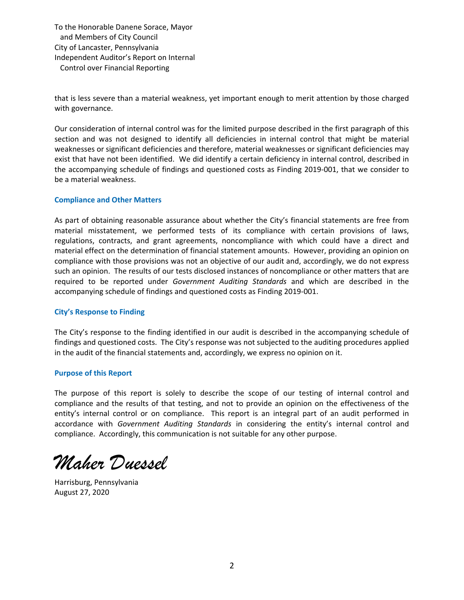To the Honorable Danene Sorace, Mayor and Members of City Council City of Lancaster, Pennsylvania Independent Auditor's Report on Internal Control over Financial Reporting

that is less severe than a material weakness, yet important enough to merit attention by those charged with governance.

Our consideration of internal control was for the limited purpose described in the first paragraph of this section and was not designed to identify all deficiencies in internal control that might be material weaknesses or significant deficiencies and therefore, material weaknesses or significant deficiencies may exist that have not been identified. We did identify a certain deficiency in internal control, described in the accompanying schedule of findings and questioned costs as Finding 2019‐001, that we consider to be a material weakness.

#### **Compliance and Other Matters**

As part of obtaining reasonable assurance about whether the City's financial statements are free from material misstatement, we performed tests of its compliance with certain provisions of laws, regulations, contracts, and grant agreements, noncompliance with which could have a direct and material effect on the determination of financial statement amounts. However, providing an opinion on compliance with those provisions was not an objective of our audit and, accordingly, we do not express such an opinion. The results of our tests disclosed instances of noncompliance or other matters that are required to be reported under *Government Auditing Standards* and which are described in the accompanying schedule of findings and questioned costs as Finding 2019‐001.

#### **City's Response to Finding**

The City's response to the finding identified in our audit is described in the accompanying schedule of findings and questioned costs. The City's response was not subjected to the auditing procedures applied in the audit of the financial statements and, accordingly, we express no opinion on it.

#### **Purpose of this Report**

The purpose of this report is solely to describe the scope of our testing of internal control and compliance and the results of that testing, and not to provide an opinion on the effectiveness of the entity's internal control or on compliance. This report is an integral part of an audit performed in accordance with *Government Auditing Standards*  in considering the entity's internal control and compliance. Accordingly, this communication is not suitable for any other purpose.

*Maher Duessel*

Harrisburg, Pennsylvania August 27, 2020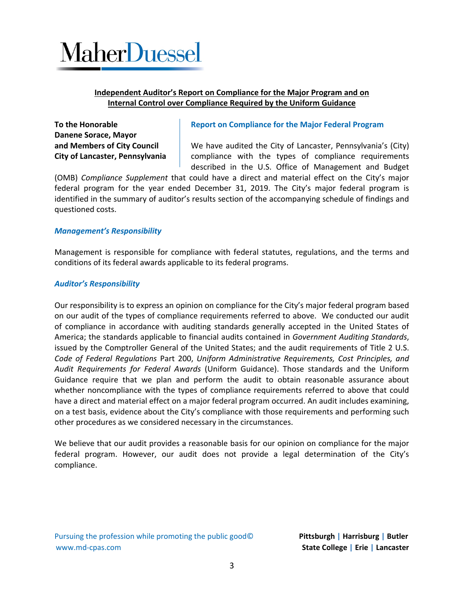

### **Independent Auditor's Report on Compliance for the Major Program and on Internal Control over Compliance Required by the Uniform Guidance**

**To the Honorable Danene Sorace, Mayor and Members of City Council City of Lancaster, Pennsylvania** 

### **Report on Compliance for the Major Federal Program**

We have audited the City of Lancaster, Pennsylvania's (City) compliance with the types of compliance requirements described in the U.S. Office of Management and Budget

(OMB) *Compliance Supplement* that could have a direct and material effect on the City's major federal program for the year ended December 31, 2019. The City's major federal program is identified in the summary of auditor's results section of the accompanying schedule of findings and questioned costs.

### *Management's Responsibility*

Management is responsible for compliance with federal statutes, regulations, and the terms and conditions of its federal awards applicable to its federal programs.

### *Auditor's Responsibility*

Our responsibility is to express an opinion on compliance for the City's major federal program based on our audit of the types of compliance requirements referred to above. We conducted our audit of compliance in accordance with auditing standards generally accepted in the United States of America; the standards applicable to financial audits contained in *Government Auditing Standards*, issued by the Comptroller General of the United States; and the audit requirements of Title 2 U.S. *Code of Federal Regulations* Part 200, *Uniform Administrative Requirements, Cost Principles, and Audit Requirements for Federal Awards*  (Uniform Guidance). Those standards and the Uniform Guidance require that we plan and perform the audit to obtain reasonable assurance about whether noncompliance with the types of compliance requirements referred to above that could have a direct and material effect on a major federal program occurred. An audit includes examining, on a test basis, evidence about the City's compliance with those requirements and performing such other procedures as we considered necessary in the circumstances.

We believe that our audit provides a reasonable basis for our opinion on compliance for the major federal program. However, our audit does not provide a legal determination of the City's compliance.

www.md-cpas.com Pursuing the profession while promoting the public good© **Pittsburgh | Harrisburg | Butler**

State College | Erie | Lancaster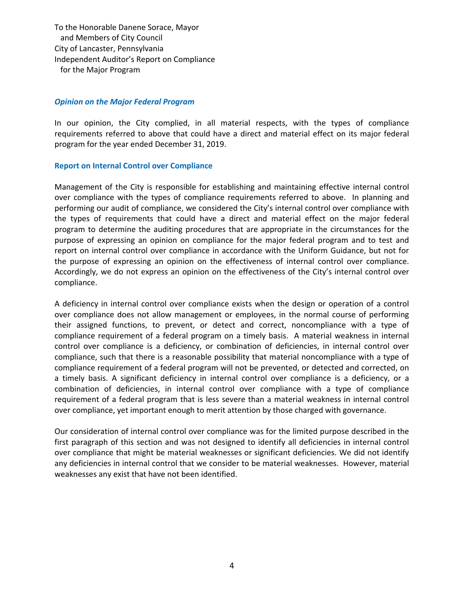To the Honorable Danene Sorace, Mayor and Members of City Council City of Lancaster, Pennsylvania Independent Auditor's Report on Compliance for the Major Program

#### *Opinion on the Major Federal Program*

In our opinion, the City complied, in all material respects, with the types of compliance requirements referred to above that could have a direct and material effect on its major federal program for the year ended December 31, 2019.

#### **Report on Internal Control over Compliance**

Management of the City is responsible for establishing and maintaining effective internal control over compliance with the types of compliance requirements referred to above. In planning and performing our audit of compliance, we considered the City's internal control over compliance with the types of requirements that could have a direct and material effect on the major federal program to determine the auditing procedures that are appropriate in the circumstances for the purpose of expressing an opinion on compliance for the major federal program and to test and report on internal control over compliance in accordance with the Uniform Guidance, but not for the purpose of expressing an opinion on the effectiveness of internal control over compliance. Accordingly, we do not express an opinion on the effectiveness of the City's internal control over compliance.

A deficiency in internal control over compliance exists when the design or operation of a control over compliance does not allow management or employees, in the normal course of performing their assigned functions, to prevent, or detect and correct, noncompliance with a type of compliance requirement of a federal program on a timely basis. A material weakness in internal control over compliance is a deficiency, or combination of deficiencies, in internal control over compliance, such that there is a reasonable possibility that material noncompliance with a type of compliance requirement of a federal program will not be prevented, or detected and corrected, on a timely basis. A significant deficiency in internal control over compliance is a deficiency, or a combination of deficiencies, in internal control over compliance with a type of compliance requirement of a federal program that is less severe than a material weakness in internal control over compliance, yet important enough to merit attention by those charged with governance.

Our consideration of internal control over compliance was for the limited purpose described in the first paragraph of this section and was not designed to identify all deficiencies in internal control over compliance that might be material weaknesses or significant deficiencies. We did not identify any deficiencies in internal control that we consider to be material weaknesses. However, material weaknesses any exist that have not been identified.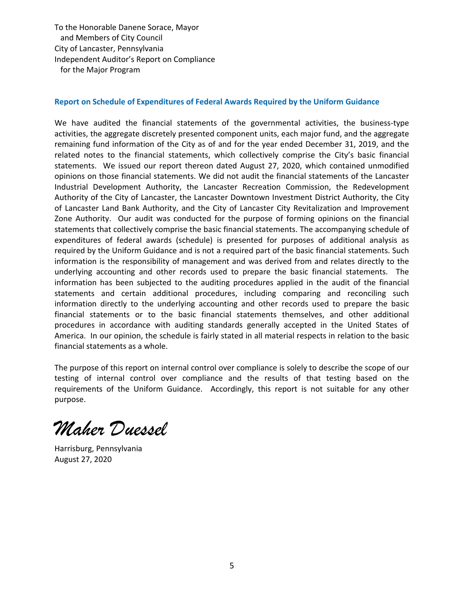To the Honorable Danene Sorace, Mayor and Members of City Council City of Lancaster, Pennsylvania Independent Auditor's Report on Compliance for the Major Program

### **Report on Schedule of Expenditures of Federal Awards Required by the Uniform Guidance**

We have audited the financial statements of the governmental activities, the business-type activities, the aggregate discretely presented component units, each major fund, and the aggregate remaining fund information of the City as of and for the year ended December 31, 2019, and the related notes to the financial statements, which collectively comprise the City's basic financial statements. We issued our report thereon dated August 27, 2020, which contained unmodified opinions on those financial statements. We did not audit the financial statements of the Lancaster Industrial Development Authority, the Lancaster Recreation Commission, the Redevelopment Authority of the City of Lancaster, the Lancaster Downtown Investment District Authority, the City of Lancaster Land Bank Authority, and the City of Lancaster City Revitalization and Improvement Zone Authority. Our audit was conducted for the purpose of forming opinions on the financial statements that collectively comprise the basic financial statements. The accompanying schedule of expenditures of federal awards (schedule) is presented for purposes of additional analysis as required by the Uniform Guidance and is not a required part of the basic financial statements. Such information is the responsibility of management and was derived from and relates directly to the underlying accounting and other records used to prepare the basic financial statements. The information has been subjected to the auditing procedures applied in the audit of the financial statements and certain additional procedures, including comparing and reconciling such information directly to the underlying accounting and other records used to prepare the basic financial statements or to the basic financial statements themselves, and other additional procedures in accordance with auditing standards generally accepted in the United States of America. In our opinion, the schedule is fairly stated in all material respects in relation to the basic financial statements as a whole.

The purpose of this report on internal control over compliance is solely to describe the scope of our testing of internal control over compliance and the results of that testing based on the requirements of the Uniform Guidance. Accordingly, this report is not suitable for any other purpose.

*Maher Duessel*

Harrisburg, Pennsylvania August 27, 2020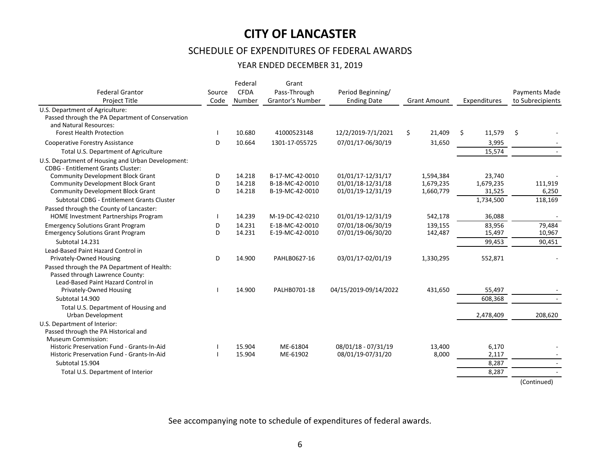### **CITY OF LANCASTER**

### SCHEDULE OF EXPENDITURES OF FEDERAL AWARDS

### YEAR ENDED DECEMBER 31, 2019

|                                                                                                                      |        | Federal     | Grant            |                       |                     |              |                  |
|----------------------------------------------------------------------------------------------------------------------|--------|-------------|------------------|-----------------------|---------------------|--------------|------------------|
| <b>Federal Grantor</b>                                                                                               | Source | <b>CFDA</b> | Pass-Through     | Period Beginning/     |                     |              | Payments Made    |
| <b>Project Title</b>                                                                                                 | Code   | Number      | Grantor's Number | <b>Ending Date</b>    | <b>Grant Amount</b> | Expenditures | to Subrecipients |
| U.S. Department of Agriculture:<br>Passed through the PA Department of Conservation<br>and Natural Resources:        |        |             |                  |                       |                     |              |                  |
| <b>Forest Health Protection</b>                                                                                      |        | 10.680      | 41000523148      | 12/2/2019-7/1/2021    | \$<br>21,409        | \$<br>11,579 | \$               |
| Cooperative Forestry Assistance                                                                                      | D      | 10.664      | 1301-17-055725   | 07/01/17-06/30/19     | 31,650              | 3,995        |                  |
| Total U.S. Department of Agriculture                                                                                 |        |             |                  |                       |                     | 15,574       |                  |
| U.S. Department of Housing and Urban Development:<br><b>CDBG - Entitlement Grants Cluster:</b>                       |        |             |                  |                       |                     |              |                  |
| <b>Community Development Block Grant</b>                                                                             | D      | 14.218      | B-17-MC-42-0010  | 01/01/17-12/31/17     | 1,594,384           | 23,740       |                  |
| <b>Community Development Block Grant</b>                                                                             | D      | 14.218      | B-18-MC-42-0010  | 01/01/18-12/31/18     | 1,679,235           | 1,679,235    | 111,919          |
| <b>Community Development Block Grant</b>                                                                             | D      | 14.218      | B-19-MC-42-0010  | 01/01/19-12/31/19     | 1,660,779           | 31,525       | 6,250            |
| Subtotal CDBG - Entitlement Grants Cluster                                                                           |        |             |                  |                       |                     | 1,734,500    | 118,169          |
| Passed through the County of Lancaster:                                                                              |        |             |                  |                       |                     |              |                  |
| HOME Investment Partnerships Program                                                                                 |        | 14.239      | M-19-DC-42-0210  | 01/01/19-12/31/19     | 542,178             | 36,088       |                  |
| <b>Emergency Solutions Grant Program</b>                                                                             | D      | 14.231      | E-18-MC-42-0010  | 07/01/18-06/30/19     | 139,155             | 83,956       | 79,484           |
| <b>Emergency Solutions Grant Program</b>                                                                             | D      | 14.231      | E-19-MC-42-0010  | 07/01/19-06/30/20     | 142,487             | 15,497       | 10,967           |
| Subtotal 14.231                                                                                                      |        |             |                  |                       |                     | 99,453       | 90,451           |
| Lead-Based Paint Hazard Control in<br>Privately-Owned Housing                                                        | D      | 14.900      | PAHLB0627-16     | 03/01/17-02/01/19     | 1,330,295           | 552,871      |                  |
| Passed through the PA Department of Health:<br>Passed through Lawrence County:<br>Lead-Based Paint Hazard Control in |        |             |                  |                       |                     |              |                  |
| Privately-Owned Housing                                                                                              |        | 14.900      | PALHB0701-18     | 04/15/2019-09/14/2022 | 431,650             | 55,497       |                  |
| Subtotal 14.900                                                                                                      |        |             |                  |                       |                     | 608,368      |                  |
| Total U.S. Department of Housing and<br>Urban Development                                                            |        |             |                  |                       |                     | 2,478,409    | 208,620          |
| U.S. Department of Interior:<br>Passed through the PA Historical and<br><b>Museum Commission:</b>                    |        |             |                  |                       |                     |              |                  |
| Historic Preservation Fund - Grants-In-Aid                                                                           |        | 15.904      | ME-61804         | 08/01/18 - 07/31/19   | 13,400              | 6,170        |                  |
| Historic Preservation Fund - Grants-In-Aid                                                                           |        | 15.904      | ME-61902         | 08/01/19-07/31/20     | 8,000               | 2,117        |                  |
| Subtotal 15.904                                                                                                      |        |             |                  |                       |                     | 8,287        |                  |
| Total U.S. Department of Interior                                                                                    |        |             |                  |                       |                     | 8,287        |                  |
|                                                                                                                      |        |             |                  |                       |                     |              | (Continued)      |

See accompanying note to schedule of expenditures of federal awards.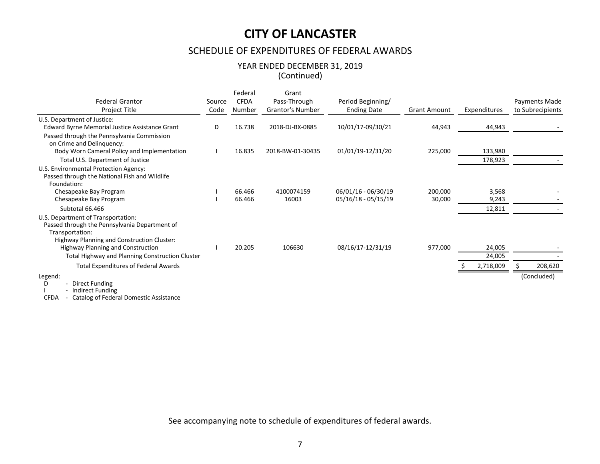### **CITY OF LANCASTER**

### SCHEDULE OF EXPENDITURES OF FEDERAL AWARDS

YEAR ENDED DECEMBER 31, 2019 (Continued)

|                                                                                                                                                                                                                                                                                                                                                                                                              |        | Federal          | Grant                |                                          |                     |                                        |                  |
|--------------------------------------------------------------------------------------------------------------------------------------------------------------------------------------------------------------------------------------------------------------------------------------------------------------------------------------------------------------------------------------------------------------|--------|------------------|----------------------|------------------------------------------|---------------------|----------------------------------------|------------------|
| <b>Federal Grantor</b>                                                                                                                                                                                                                                                                                                                                                                                       | Source | <b>CFDA</b>      | Pass-Through         | Period Beginning/                        |                     |                                        | Payments Made    |
| Project Title                                                                                                                                                                                                                                                                                                                                                                                                | Code   | Number           | Grantor's Number     | <b>Ending Date</b>                       | <b>Grant Amount</b> | Expenditures                           | to Subrecipients |
| U.S. Department of Justice:                                                                                                                                                                                                                                                                                                                                                                                  |        |                  |                      |                                          |                     |                                        |                  |
| Edward Byrne Memorial Justice Assistance Grant                                                                                                                                                                                                                                                                                                                                                               | D      | 16.738           | 2018-DJ-BX-0885      | 10/01/17-09/30/21                        | 44,943              | 44,943                                 |                  |
| Passed through the Pennsylvania Commission                                                                                                                                                                                                                                                                                                                                                                   |        |                  |                      |                                          |                     |                                        |                  |
| on Crime and Delinquency:                                                                                                                                                                                                                                                                                                                                                                                    |        |                  |                      |                                          |                     |                                        |                  |
| Body Worn Cameral Policy and Implementation                                                                                                                                                                                                                                                                                                                                                                  |        | 16.835           | 2018-BW-01-30435     | 01/01/19-12/31/20                        | 225,000             | 133,980                                |                  |
| Total U.S. Department of Justice                                                                                                                                                                                                                                                                                                                                                                             |        |                  |                      |                                          |                     | 178,923                                |                  |
| U.S. Environmental Protection Agency:                                                                                                                                                                                                                                                                                                                                                                        |        |                  |                      |                                          |                     |                                        |                  |
|                                                                                                                                                                                                                                                                                                                                                                                                              |        |                  |                      |                                          |                     |                                        |                  |
|                                                                                                                                                                                                                                                                                                                                                                                                              |        |                  |                      |                                          |                     |                                        |                  |
| Chesapeake Bay Program                                                                                                                                                                                                                                                                                                                                                                                       |        | 66.466           | 16003                | 05/16/18 - 05/15/19                      | 30,000              | 9,243                                  |                  |
| Subtotal 66.466                                                                                                                                                                                                                                                                                                                                                                                              |        |                  |                      |                                          |                     | 12,811                                 |                  |
| U.S. Department of Transportation:                                                                                                                                                                                                                                                                                                                                                                           |        |                  |                      |                                          |                     |                                        |                  |
| Passed through the Pennsylvania Department of                                                                                                                                                                                                                                                                                                                                                                |        |                  |                      |                                          |                     |                                        |                  |
|                                                                                                                                                                                                                                                                                                                                                                                                              |        |                  |                      |                                          |                     |                                        |                  |
|                                                                                                                                                                                                                                                                                                                                                                                                              |        |                  |                      |                                          |                     |                                        |                  |
|                                                                                                                                                                                                                                                                                                                                                                                                              |        |                  |                      |                                          |                     |                                        |                  |
|                                                                                                                                                                                                                                                                                                                                                                                                              |        |                  |                      |                                          |                     |                                        |                  |
|                                                                                                                                                                                                                                                                                                                                                                                                              |        |                  |                      |                                          |                     |                                        | 208,620          |
| Legend:                                                                                                                                                                                                                                                                                                                                                                                                      |        |                  |                      |                                          |                     |                                        | (Concluded)      |
|                                                                                                                                                                                                                                                                                                                                                                                                              |        |                  |                      |                                          |                     |                                        |                  |
|                                                                                                                                                                                                                                                                                                                                                                                                              |        |                  |                      |                                          |                     |                                        |                  |
| Passed through the National Fish and Wildlife<br>Foundation:<br>Chesapeake Bay Program<br>Transportation:<br>Highway Planning and Construction Cluster:<br><b>Highway Planning and Construction</b><br>Total Highway and Planning Construction Cluster<br><b>Total Expenditures of Federal Awards</b><br>Direct Funding<br>D.<br>- Indirect Funding<br>Catalog of Federal Domestic Assistance<br><b>CFDA</b> |        | 66.466<br>20.205 | 4100074159<br>106630 | 06/01/16 - 06/30/19<br>08/16/17-12/31/19 | 200,000<br>977,000  | 3,568<br>24,005<br>24,005<br>2,718,009 |                  |

See accompanying note to schedule of expenditures of federal awards.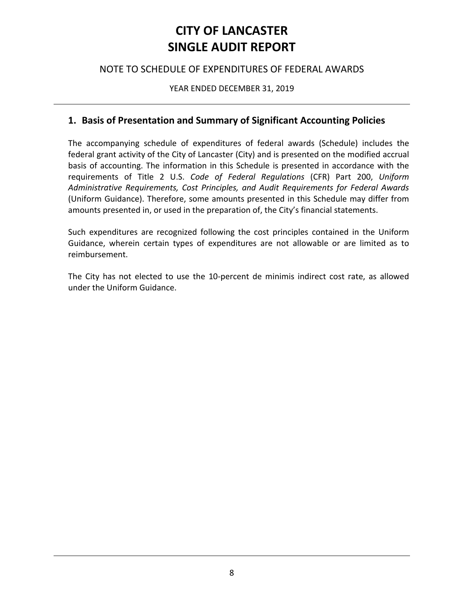### NOTE TO SCHEDULE OF EXPENDITURES OF FEDERAL AWARDS

YEAR ENDED DECEMBER 31, 2019

### **1. Basis of Presentation and Summary of Significant Accounting Policies**

The accompanying schedule of expenditures of federal awards (Schedule) includes the federal grant activity of the City of Lancaster (City) and is presented on the modified accrual basis of accounting. The information in this Schedule is presented in accordance with the requirements of Title 2 U.S. *Code of Federal Regulations* (CFR) Part 200, *Uniform Administrative Requirements, Cost Principles, and Audit Requirements for Federal Awards* (Uniform Guidance). Therefore, some amounts presented in this Schedule may differ from amounts presented in, or used in the preparation of, the City's financial statements.

Such expenditures are recognized following the cost principles contained in the Uniform Guidance, wherein certain types of expenditures are not allowable or are limited as to reimbursement.

The City has not elected to use the 10-percent de minimis indirect cost rate, as allowed under the Uniform Guidance.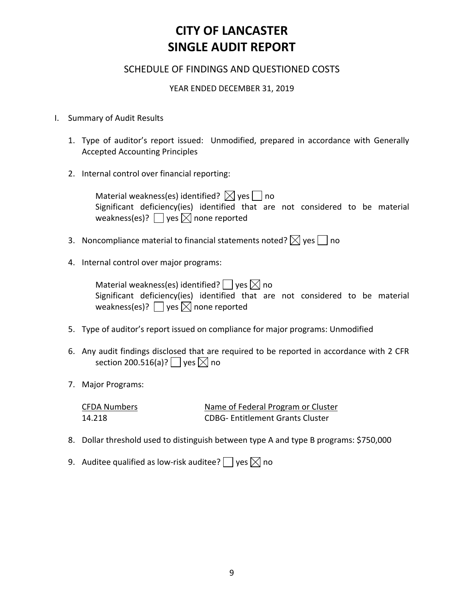### SCHEDULE OF FINDINGS AND QUESTIONED COSTS

YEAR ENDED DECEMBER 31, 2019

### I. Summary of Audit Results

- 1. Type of auditor's report issued: Unmodified, prepared in accordance with Generally Accepted Accounting Principles
- 2. Internal control over financial reporting:

| Material weakness(es) identified? $\boxtimes$ yes $\Box$ no |                                                                               |  |  |  |  |  |  |  |  |
|-------------------------------------------------------------|-------------------------------------------------------------------------------|--|--|--|--|--|--|--|--|
|                                                             | Significant deficiency(ies) identified that are not considered to be material |  |  |  |  |  |  |  |  |
| weakness(es)? $\Box$ yes $\boxtimes$ none reported          |                                                                               |  |  |  |  |  |  |  |  |

- 3. Noncompliance material to financial statements noted?  $\boxtimes$  yes  $\Box$  no
- 4. Internal control over major programs:

| Material weakness(es) identified? $\Box$ yes $\boxtimes$ no |                                                                               |  |  |  |  |  |  |  |  |
|-------------------------------------------------------------|-------------------------------------------------------------------------------|--|--|--|--|--|--|--|--|
|                                                             | Significant deficiency(ies) identified that are not considered to be material |  |  |  |  |  |  |  |  |
|                                                             | weakness(es)? $\Box$ yes $\boxtimes$ none reported                            |  |  |  |  |  |  |  |  |

- 5. Type of auditor's report issued on compliance for major programs: Unmodified
- 6. Any audit findings disclosed that are required to be reported in accordance with 2 CFR section 200.516(a)?  $\Box$  yes  $\boxtimes$  no
- 7. Major Programs:

CFDA Numbers Name of Federal Program or Cluster 14.218 CDBG- Entitlement Grants Cluster

- 8. Dollar threshold used to distinguish between type A and type B programs: \$750,000
- 9. Auditee qualified as low-risk auditee?  $\Box$  yes  $\boxtimes$  no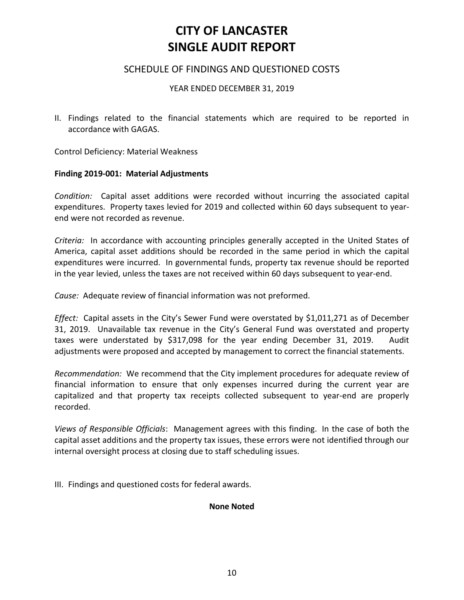### SCHEDULE OF FINDINGS AND QUESTIONED COSTS

### YEAR ENDED DECEMBER 31, 2019

II. Findings related to the financial statements which are required to be reported in accordance with GAGAS.

Control Deficiency: Material Weakness

### **Finding 2019-001: Material Adjustments**

*Condition:* Capital asset additions were recorded without incurring the associated capital expenditures. Property taxes levied for 2019 and collected within 60 days subsequent to yearend were not recorded as revenue.

*Criteria:* In accordance with accounting principles generally accepted in the United States of America, capital asset additions should be recorded in the same period in which the capital expenditures were incurred. In governmental funds, property tax revenue should be reported in the year levied, unless the taxes are not received within 60 days subsequent to year-end.

*Cause:* Adequate review of financial information was not preformed.

*Effect:* Capital assets in the City's Sewer Fund were overstated by \$1,011,271 as of December 31, 2019. Unavailable tax revenue in the City's General Fund was overstated and property taxes were understated by \$317,098 for the year ending December 31, 2019. Audit adjustments were proposed and accepted by management to correct the financial statements.

*Recommendation:* We recommend that the City implement procedures for adequate review of financial information to ensure that only expenses incurred during the current year are capitalized and that property tax receipts collected subsequent to year-end are properly recorded.

*Views of Responsible Officials*: Management agrees with this finding. In the case of both the capital asset additions and the property tax issues, these errors were not identified through our internal oversight process at closing due to staff scheduling issues.

III. Findings and questioned costs for federal awards.

### **None Noted**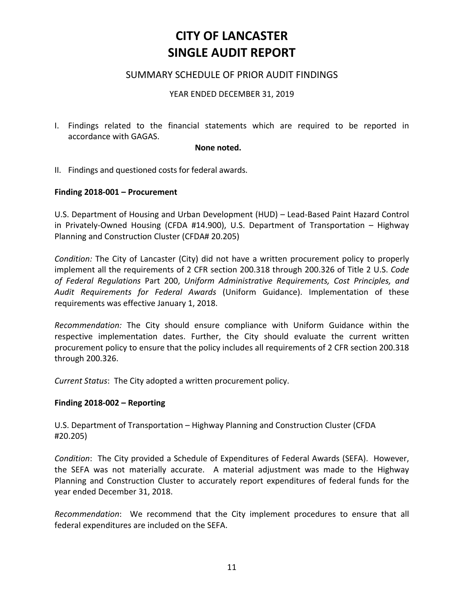### SUMMARY SCHEDULE OF PRIOR AUDIT FINDINGS

### YEAR ENDED DECEMBER 31, 2019

I. Findings related to the financial statements which are required to be reported in accordance with GAGAS.

#### **None noted.**

II. Findings and questioned costs for federal awards.

### **Finding 2018-001 – Procurement**

U.S. Department of Housing and Urban Development (HUD) – Lead-Based Paint Hazard Control in Privately-Owned Housing (CFDA #14.900), U.S. Department of Transportation – Highway Planning and Construction Cluster (CFDA# 20.205)

*Condition:* The City of Lancaster (City) did not have a written procurement policy to properly implement all the requirements of 2 CFR section 200.318 through 200.326 of Title 2 U.S. *Code of Federal Regulations* Part 200, *Uniform Administrative Requirements, Cost Principles, and Audit Requirements for Federal Awards* (Uniform Guidance). Implementation of these requirements was effective January 1, 2018.

*Recommendation:* The City should ensure compliance with Uniform Guidance within the respective implementation dates. Further, the City should evaluate the current written procurement policy to ensure that the policy includes all requirements of 2 CFR section 200.318 through 200.326.

*Current Status*: The City adopted a written procurement policy.

### **Finding 2018-002 – Reporting**

U.S. Department of Transportation – Highway Planning and Construction Cluster (CFDA #20.205)

*Condition*: The City provided a Schedule of Expenditures of Federal Awards (SEFA). However, the SEFA was not materially accurate. A material adjustment was made to the Highway Planning and Construction Cluster to accurately report expenditures of federal funds for the year ended December 31, 2018.

*Recommendation*: We recommend that the City implement procedures to ensure that all federal expenditures are included on the SEFA.